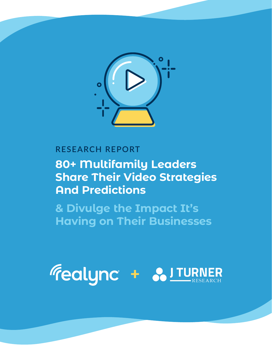

#### **RESEARCH REPORT**

# **80+ Multifamily Leaders Share Their Video Strategies And Predictions**

**& Divulge the Impact It's Having on Their Businesses**

# Fealync + & ITUR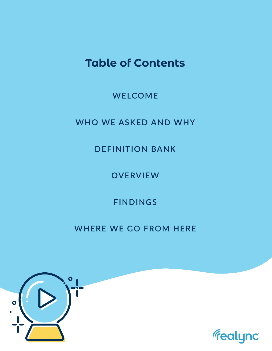# **Table of Contents**

## **[WELCOME](#page-2-0)**

## **[WHO WE ASKED AND WHY](#page-3-0)**

## **[DEFINITION BANK](#page-5-0)**

## **[OVERVIEW](#page-6-0)**

## **[FINDINGS](#page-7-0)**

## **[WHERE WE GO FROM HERE](#page-12-0)**



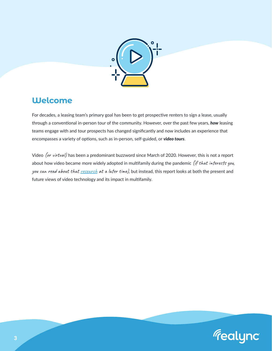

#### <span id="page-2-0"></span>**Welcome**

For decades, a leasing team's primary goal has been to get prospective renters to sign a lease, usually through a conventional in-person tour of the community. However, over the past few years, *how* leasing teams engage with and tour prospects has changed significantly and now includes an experience that encompasses a variety of options, such as in-person, self-guided, or *video tours*.

Video (or virtual) has been a predominant buzzword since March of 2020. However, this is not a report about how video became more widely adopted in multifamily during the pandemic *(if that interests you,* you can read about that [research](https://www.realync.com/realync-satisfacts-survey-results-report/) at a later time), but instead, this report looks at both the present and future views of video technology and its impact in multifamily.

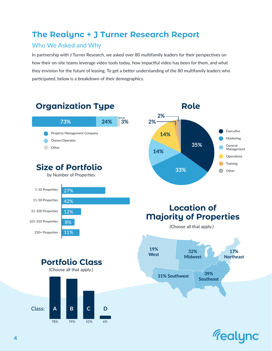## <span id="page-3-0"></span>**The Realync + J Turner Research Report**

#### Who We Asked and Why

In partnership with J Turner Research, we asked over 80 multifamily leaders for their perspectives on how their on-site teams leverage video tools today, how impactful video has been for them, and what they envision for the future of leasing. To get a better understanding of the 80 multifamily leaders who participated, below is a breakdown of their demographics.

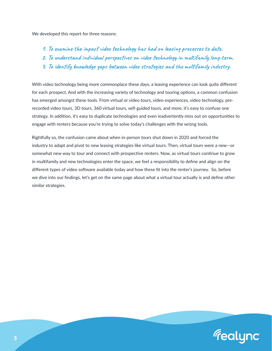We developed this report for three reasons:

- 1. To examine the impact video technology has had on leasing processes to date.
- 2. To understand individual perspectives on video technology in multifamily long-term.
- 3. To identify knowledge gaps between video strategies and the multifamily industry.

With video technology being more commonplace these days, a leasing experience can look quite different for each prospect. And with the increasing variety of technology and touring options, a common confusion has emerged amongst these tools. From virtual or video tours, video experiences, video technology, prerecorded video tours, 3D tours, 360 virtual tours, self-guided tours, and more, it's easy to confuse one strategy. In addition, it's easy to duplicate technologies and even inadvertently miss out on opportunities to engage with renters because you're trying to solve today's challenges with the wrong tools.

Rightfully so, the confusion came about when in-person tours shut down in 2020 and forced the industry to adapt and pivot to new leasing strategies like virtual tours. Then, virtual tours were a new—or somewhat new way to tour and connect with prospective renters. Now, as virtual tours continue to grow in multifamily and new technologies enter the space, we feel a responsibility to define and align on the different types of video software available today and how these fit into the renter's journey. So, before we dive into our findings, let's get on the same page about what a virtual tour actually is and define other similar strategies.

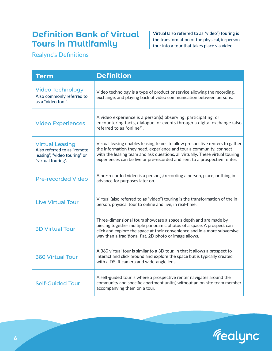## <span id="page-5-0"></span>**Definition Bank of Virtual Tours in Multifamily**

Virtual (also referred to as "video") touring is the transformation of the physical, in-person tour into a tour that takes place via video.

Realync's Definitions

| <b>Term</b>                                                                                                 | <b>Definition</b>                                                                                                                                                                                                                                                                                                 |
|-------------------------------------------------------------------------------------------------------------|-------------------------------------------------------------------------------------------------------------------------------------------------------------------------------------------------------------------------------------------------------------------------------------------------------------------|
| <b>Video Technology</b><br>Also commonly referred to<br>as a "video tool".                                  | Video technology is a type of product or service allowing the recording,<br>exchange, and playing back of video communication between persons.                                                                                                                                                                    |
| <b>Video Experiences</b>                                                                                    | A video experience is a person(s) observing, participating, or<br>encountering facts, dialogue, or events through a digital exchange (also<br>referred to as "online").                                                                                                                                           |
| <b>Virtual Leasing</b><br>Also referred to as "remote<br>leasing", "video touring" or<br>"virtual touring". | Virtual leasing enables leasing teams to allow prospective renters to gather<br>the information they need, experience and tour a community, connect<br>with the leasing team and ask questions, all virtually. These virtual touring<br>experiences can be live or pre-recorded and sent to a prospective renter. |
| <b>Pre-recorded Video</b>                                                                                   | A pre-recorded video is a person(s) recording a person, place, or thing in<br>advance for purposes later on.                                                                                                                                                                                                      |
| <b>Live Virtual Tour</b>                                                                                    | Virtual (also referred to as "video") touring is the transformation of the in-<br>person, physical tour to online and live, in real-time.                                                                                                                                                                         |
| <b>3D Virtual Tour</b>                                                                                      | Three-dimensional tours showcase a space's depth and are made by<br>piecing together multiple panoramic photos of a space. A prospect can<br>click and explore the space at their convenience and in a more subversive<br>way than a traditional flat, 2D photo or image allows.                                  |
| <b>360 Virtual Tour</b>                                                                                     | A 360 virtual tour is similar to a 3D tour, in that it allows a prospect to<br>interact and click around and explore the space but is typically created<br>with a DSLR camera and wide-angle lens.                                                                                                                |
| <b>Self-Guided Tour</b>                                                                                     | A self-guided tour is where a prospective renter navigates around the<br>community and specific apartment unit(s) without an on-site team member<br>accompanying them on a tour.                                                                                                                                  |

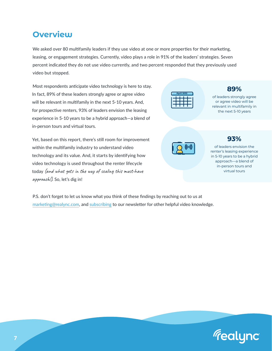#### <span id="page-6-0"></span>**Overview**

We asked over 80 multifamily leaders if they use video at one or more properties for their marketing, leasing, or engagement strategies. Currently, video plays a role in 91% of the leaders' strategies. Seven percent indicated they do not use video currently, and two percent responded that they previously used video but stopped.

Most respondents anticipate video technology is here to stay. In fact, 89% of these leaders strongly agree or agree video will be relevant in multifamily in the next 5-10 years. And, for prospective renters, 93% of leaders envision the leasing experience in 5-10 years to be a hybrid approach—a blend of in-person tours and virtual tours.

Yet, based on this report, there's still room for improvement within the multifamily industry to understand video technology and its value. And, it starts by identifying how video technology is used throughout the renter lifecycle today (and what gets in the way of scaling this must-have approach!). So, let's dig in!



of leaders strongly agree or agree video will be relevant in multifamily in the next 5-10 years

**89%**

#### **93%**

of leaders envision the renter's leasing experience in 5-10 years to be a hybrid approach—a blend of in-person tours and virtual tours

P.S. don't forget to let us know what you think of these findings by reaching out to us at [marketing@realync.com](mailto:marketing%40realync.com?subject=Realync%20%2B%20J.%20Turner%20Research%20Report), and [subscribing](https://www.realync.com/subscribe-to-the-realync-newsletter/?utm_campaign=Email%20Nurture&utm_source=email&utm_content=Subscribe%20to%20the%20Realync%20Newsletter) to our newsletter for other helpful video knowledge.

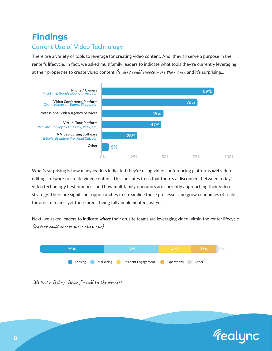## <span id="page-7-0"></span>**Findings**

#### Current Use of Video Technology

There are a variety of tools to leverage for creating video content. And, they all serve a purpose in the renter's lifecycle. In fact, we asked multifamily leaders to indicate what tools they're currently leveraging at their properties to create video content (leaders could choose more than one), and it's surprising...



What's surprising is how many leaders indicated they're using video conferencing platforms *and* video editing software to create video content. This indicates to us that there's a disconnect between today's video technology best practices and how multifamily operators are currently approaching their video strategy. There are significant opportunities to streamline these processes and grow economies of scale for on-site teams, yet these aren't being fully implemented just yet.

Next, we asked leaders to indicate *where* their on-site teams are leveraging video within the renter lifecycle (leaders could choose more than one).





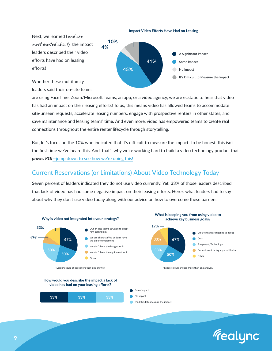

Next, we learned (and are most excited about) the impact leaders described their video efforts have had on leasing efforts!



Whether these multifamily leaders said their on-site teams

are using FaceTime, Zoom/Microsoft Teams, an app, or a video agency, we are ecstatic to hear that video has had an impact on their leasing efforts! To us, this means video has allowed teams to accommodate site-unseen requests, accelerate leasing numbers, engage with prospective renters in other states, and save maintenance and leasing teams' time. And even more, video has empowered teams to create real connections throughout the entire renter lifecycle through storytelling.

But, let's focus on the 10% who indicated that it's difficult to measure the impact. To be honest, this isn't the first time we've heard this. And, that's why we're working hard to build a video technology product that *proves ROI*[—jump down to see how we're doing this!](#page-12-0)

#### Current Reservations (or Limitations) About Video Technology Today

Seven percent of leaders indicated they do not use video currently. Yet, 33% of those leaders described that lack of video has had some negative impact on their leasing efforts. Here's what leaders had to say about why they don't use video today along with our advice on how to overcome these barriers.



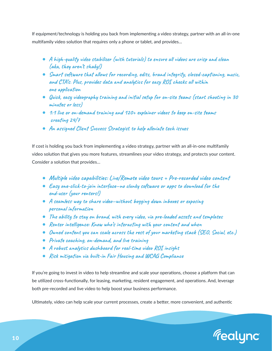If equipment/technology is holding you back from implementing a video strategy, partner with an all-in-one multifamily video solution that requires only a phone or tablet, and provides…

- A high-quality video stabilizer (with tutorials) to ensure all videos are crisp and clean (aka, they aren't shaky!)
- Smart software that allows for recording, edits, brand integrity, closed-captioning, music, and CTA's. Plus, provides data and analytics for easy ROI checks all within one application
- Quick, easy videography training and initial setup for on-site teams (start shooting in 30 minutes or less)
- 1:1 live or on-demand training and 120+ explainer videos to keep on-site teams creating 24/7
- An assigned Client Success Strategist to help alleviate tech issues

If cost is holding you back from implementing a video strategy, partner with an all-in-one multifamily video solution that gives you more features, streamlines your video strategy, and protects your content. Consider a solution that provides…

- Multiple video capabilities: Live/Remote video tours + Pre-recorded video content
- Easy one-click-to-join interface—no clunky software or apps to download for the end-user (your renters!)
- A seamless way to share video—without bogging down inboxes or exposing personal information
- The ability to stay on brand, with every video, via pre-loaded assets and templates
- Renter intelligence: Know who's interacting with your content and when
- Owned content you can scale across the rest of your marketing stack (SEO, Social, etc.)
- Private coaching, on-demand, and live training
- A robust analytics dashboard for real-time video ROI insight
- Risk mitigation via built-in Fair Housing and WCAG Compliance

If you're going to invest in video to help streamline and scale your operations, choose a platform that can be utilized cross-functionally, for leasing, marketing, resident engagement, and operations. And, leverage both pre-recorded and live video to help boost your business performance.

Ultimately, video can help scale your current processes, create a better, more convenient, and authentic

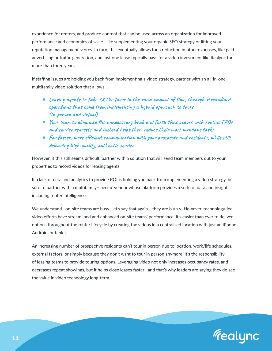experience for renters, and produce content that can be used across an organization for improved performance and economies of scale—like supplementing your organic SEO strategy or lifting your reputation management scores. In turn, this eventually allows for a reduction in other expenses, like paid advertising or traffic generation, and just one lease typically pays for a video investment like Realync for more than three years.

If staffing issues are holding you back from implementing a video strategy, partner with an all-in-one multifamily video solution that allows…

- Leasing agents to take 3X the tours in the same amount of time, through streamlined operations that come from implementing a hybrid approach to tours (in-person and virtual)
- Your team to eliminate the unnecessary back and forth that occurs with routine FAQs and service requests and instead helps them reduce their most mundane tasks
- For faster, more efficient communication with your prospects and residents, while still delivering high-quality, authentic service

However, if this still seems difficult, partner with a solution that will send team members out to your properties to record videos for leasing agents.

If a lack of data and analytics to provide ROI is holding you back from implementing a video strategy, be sure to partner with a multifamily-specific vendor whose platform provides a suite of data and insights, including renter intelligence.

We understand—on-site teams are busy. Let's say that again… they are b.u.s.y! However, technology-led video efforts have streamlined and enhanced on-site teams' performance. It's easier than ever to deliver options throughout the renter lifecycle by creating the videos in a centralized location with just an iPhone, Android, or tablet.

An increasing number of prospective residents can't tour in person due to location, work/life schedules, external factors, or simply because they don't want to tour in person anymore. It's the responsibility of leasing teams to provide touring options. Leveraging video not only increases occupancy rates, and decreases repeat showings, but it helps close leases faster—and that's why leaders are saying they do see the value in video technology long-term.

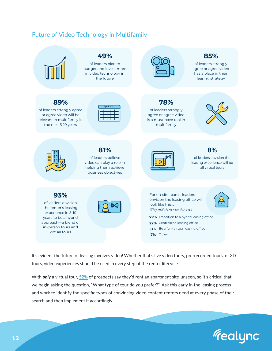#### Future of Video Technology in Multifamily



It's evident the future of leasing involves video! Whether that's live video tours, pre-recorded tours, or 3D tours, video experiences should be used in every step of the renter lifecycle.

With *only* a virtual tour, [52%](https://www.realync.com/realync-satisfacts-survey-results-report/) of prospects say they'd rent an apartment site-unseen, so it's critical that we begin asking the question, "What type of tour do you prefer?". Ask this early in the leasing process and work to identify the specific types of convincing video content renters need at every phase of their search and then implement it accordingly.

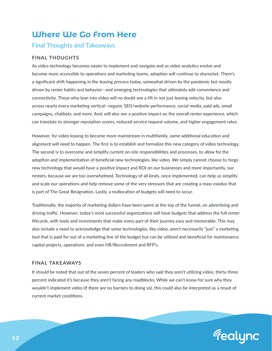## <span id="page-12-0"></span>**Where We Go From Here**

#### Final Thoughts and Takeaways

#### **FINAL THOUGHTS**

As video technology becomes easier to implement and navigate and as video analytics evolve and become more accessible to operations and marketing teams, adoption will continue to skyrocket. There's a significant shift happening in the leasing process today, somewhat driven by the pandemic but mostly driven by renter habits and behavior—and emerging technologies that ultimately add convenience and connectivity. Those who lean into video will no doubt see a lift in not just leasing velocity, but also across nearly every marketing vertical—organic SEO/website performance, social media, paid ads, email campaigns, chatbots, and more. And, will also see a positive impact on the overall renter experience, which can translate to stronger reputation scores, reduced service request volume, and higher engagement rates.

However, for video leasing to become more mainstream in multifamily, some additional education and alignment will need to happen. The first is to establish and formalize this new category of video technology. The second is to overcome and simplify current on-site responsibilities and processes, to allow for the adoption and implementation of beneficial new technologies, like video. We simply cannot choose to forgo new technology that would have a positive impact and ROI on our businesses and more importantly, our renters, because we are too overwhelmed. Technology of all kinds, once implemented, can help us simplify and scale our operations and help remove some of the very stressors that are creating a mass exodus that is part of The Great Resignation. Lastly, a reallocation of budgets will need to occur.

Traditionally, the majority of marketing dollars have been spent at the top of the funnel, on advertising and driving traffic. However, today's most successful organizations will have budgets that address the full renter lifecycle, with tools and investments that make every part of their journey easy and memorable. This may also include a need to acknowledge that some technologies, like video, aren't necessarily "just" a marketing tool that is paid for out of a marketing line of the budget but can be utilized and beneficial for maintenance, capital projects, operations, and even HR/Recruitment and RFP's.

#### **FINAL TAKEAWAYS**

It should be noted that out of the seven percent of leaders who said they aren't utilizing video, thirty-three percent indicated it's because they aren't facing any roadblocks. While we can't know for sure why they wouldn't implement video (if there are no barriers to doing so), this could also be interpreted as a result of current market conditions.

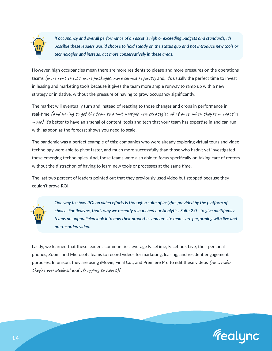

*If occupancy and overall performance of an asset is high or exceeding budgets and standards, it's possible these leaders would choose to hold steady on the status quo and not introduce new tools or technologies and instead, act more conservatively in these areas.*

However, high occupancies mean there are more residents to please and more pressures on the operations teams (more rent checks, more packages, more service requests) and, it's usually the perfect time to invest in leasing and marketing tools because it gives the team more ample runway to ramp up with a new strategy or initiative, without the pressure of having to grow occupancy significantly.

The market will eventually turn and instead of reacting to those changes and drops in performance in real-time (and having to get the team to adopt multiple new strategies all at once, when they're in reactive mode), it's better to have an arsenal of content, tools and tech that your team has expertise in and can run with, as soon as the forecast shows you need to scale.

The pandemic was a perfect example of this: companies who were already exploring virtual tours and video technology were able to pivot faster, and much more successfully than those who hadn't yet investigated these emerging technologies. And, those teams were also able to focus specifically on taking care of renters without the distraction of having to learn new tools or processes at the same time.

The last two percent of leaders pointed out that they previously used video but stopped because they couldn't prove ROI.



*One way to show ROI on video efforts is through a suite of insights provided by the platform of choice. For Realync, that's why we recently relaunched our Analytics Suite 2.0– to give multifamily teams an unparalleled look into how their properties and on-site teams are performing with live and pre-recorded video.*

Lastly, we learned that these leaders' communities leverage FaceTime, Facebook Live, their personal phones, Zoom, and Microsoft Teams to record videos for marketing, leasing, and resident engagement purposes. In unison, they are using iMovie, Final Cut, and Premiere Pro to edit these videos (no wonder they're overwhelmed and struggling to adopt)!